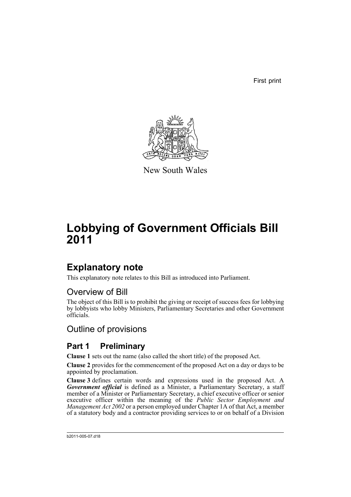First print



New South Wales

# **Lobbying of Government Officials Bill 2011**

# **Explanatory note**

This explanatory note relates to this Bill as introduced into Parliament.

# Overview of Bill

The object of this Bill is to prohibit the giving or receipt of success fees for lobbying by lobbyists who lobby Ministers, Parliamentary Secretaries and other Government officials.

# Outline of provisions

# **Part 1 Preliminary**

**Clause 1** sets out the name (also called the short title) of the proposed Act.

**Clause 2** provides for the commencement of the proposed Act on a day or days to be appointed by proclamation.

**Clause 3** defines certain words and expressions used in the proposed Act. A *Government official* is defined as a Minister, a Parliamentary Secretary, a staff member of a Minister or Parliamentary Secretary, a chief executive officer or senior executive officer within the meaning of the *Public Sector Employment and Management Act 2002* or a person employed under Chapter 1A of that Act, a member of a statutory body and a contractor providing services to or on behalf of a Division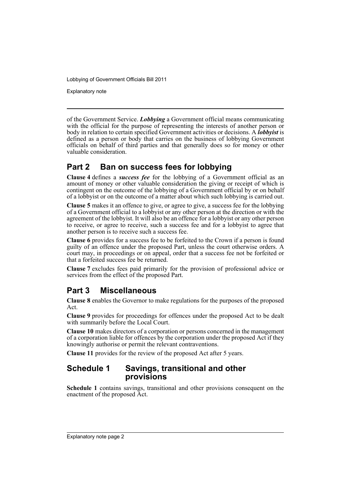Explanatory note

of the Government Service. *Lobbying* a Government official means communicating with the official for the purpose of representing the interests of another person or body in relation to certain specified Government activities or decisions. A *lobbyist* is defined as a person or body that carries on the business of lobbying Government officials on behalf of third parties and that generally does so for money or other valuable consideration.

# **Part 2 Ban on success fees for lobbying**

**Clause 4** defines a *success fee* for the lobbying of a Government official as an amount of money or other valuable consideration the giving or receipt of which is contingent on the outcome of the lobbying of a Government official by or on behalf of a lobbyist or on the outcome of a matter about which such lobbying is carried out.

**Clause 5** makes it an offence to give, or agree to give, a success fee for the lobbying of a Government official to a lobbyist or any other person at the direction or with the agreement of the lobbyist. It will also be an offence for a lobbyist or any other person to receive, or agree to receive, such a success fee and for a lobbyist to agree that another person is to receive such a success fee.

**Clause 6** provides for a success fee to be forfeited to the Crown if a person is found guilty of an offence under the proposed Part, unless the court otherwise orders. A court may, in proceedings or on appeal, order that a success fee not be forfeited or that a forfeited success fee be returned.

**Clause 7** excludes fees paid primarily for the provision of professional advice or services from the effect of the proposed Part.

# **Part 3 Miscellaneous**

**Clause 8** enables the Governor to make regulations for the purposes of the proposed Act.

**Clause 9** provides for proceedings for offences under the proposed Act to be dealt with summarily before the Local Court.

**Clause 10** makes directors of a corporation or persons concerned in the management of a corporation liable for offences by the corporation under the proposed Act if they knowingly authorise or permit the relevant contraventions.

**Clause 11** provides for the review of the proposed Act after 5 years.

## **Schedule 1 Savings, transitional and other provisions**

**Schedule 1** contains savings, transitional and other provisions consequent on the enactment of the proposed Act.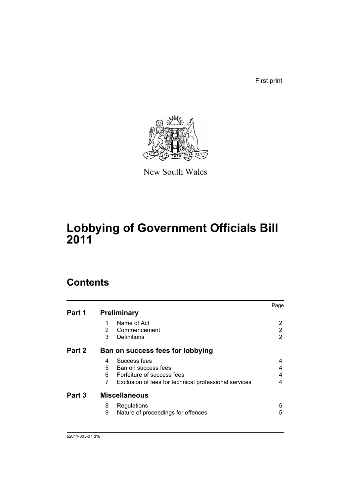First print



New South Wales

# **Lobbying of Government Officials Bill 2011**

# **Contents**

|        |                                                            | Page |
|--------|------------------------------------------------------------|------|
| Part 1 | <b>Preliminary</b>                                         |      |
|        | Name of Act                                                |      |
|        | $\overline{2}$<br>Commencement                             | 2    |
|        | 3<br>Definitions                                           | 2    |
| Part 2 | Ban on success fees for lobbying                           |      |
|        | Success fees<br>4                                          |      |
|        | 5<br>Ban on success fees                                   | 4    |
|        | 6<br>Forfeiture of success fees                            | 4    |
|        | 7<br>Exclusion of fees for technical professional services | 4    |
| Part 3 | <b>Miscellaneous</b>                                       |      |
|        | 8<br>Regulations                                           | 5    |
|        | 9<br>Nature of proceedings for offences                    | 5    |
|        |                                                            |      |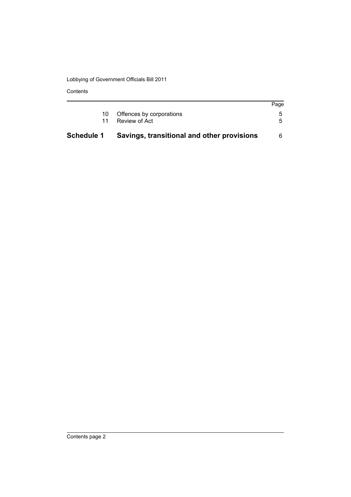Contents

| 5                                                                                       |
|-----------------------------------------------------------------------------------------|
|                                                                                         |
| Page                                                                                    |
| Offences by corporations<br>Review of Act<br>Savings, transitional and other provisions |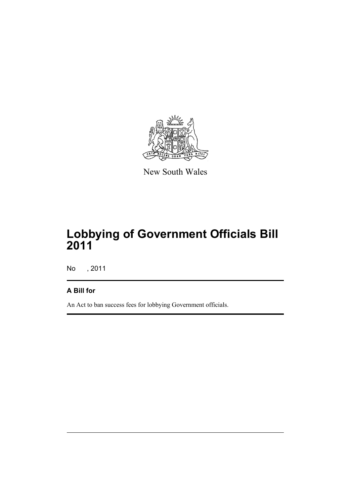

New South Wales

# **Lobbying of Government Officials Bill 2011**

No , 2011

# **A Bill for**

An Act to ban success fees for lobbying Government officials.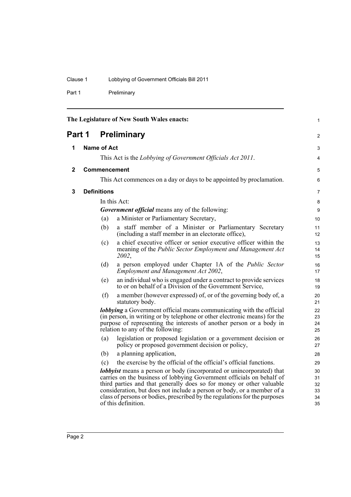# Clause 1 Lobbying of Government Officials Bill 2011

Part 1 Preliminary

<span id="page-5-3"></span><span id="page-5-2"></span><span id="page-5-1"></span><span id="page-5-0"></span>

|              |                    |     | The Legislature of New South Wales enacts:                                                                                                                                                                                                                                                                                                                                                                   | 1                                |
|--------------|--------------------|-----|--------------------------------------------------------------------------------------------------------------------------------------------------------------------------------------------------------------------------------------------------------------------------------------------------------------------------------------------------------------------------------------------------------------|----------------------------------|
| Part 1       |                    |     | <b>Preliminary</b>                                                                                                                                                                                                                                                                                                                                                                                           | $\overline{c}$                   |
| 1            | <b>Name of Act</b> |     |                                                                                                                                                                                                                                                                                                                                                                                                              | 3                                |
|              |                    |     | This Act is the Lobbying of Government Officials Act 2011.                                                                                                                                                                                                                                                                                                                                                   | 4                                |
| $\mathbf{2}$ |                    |     | Commencement                                                                                                                                                                                                                                                                                                                                                                                                 | 5                                |
|              |                    |     | This Act commences on a day or days to be appointed by proclamation.                                                                                                                                                                                                                                                                                                                                         | 6                                |
|              |                    |     |                                                                                                                                                                                                                                                                                                                                                                                                              |                                  |
| 3            | <b>Definitions</b> |     |                                                                                                                                                                                                                                                                                                                                                                                                              | $\overline{7}$                   |
|              |                    |     | In this Act:                                                                                                                                                                                                                                                                                                                                                                                                 | 8                                |
|              |                    |     | <b>Government official</b> means any of the following:                                                                                                                                                                                                                                                                                                                                                       | 9                                |
|              |                    | (a) | a Minister or Parliamentary Secretary,                                                                                                                                                                                                                                                                                                                                                                       | 10                               |
|              |                    | (b) | a staff member of a Minister or Parliamentary Secretary<br>(including a staff member in an electorate office),                                                                                                                                                                                                                                                                                               | 11<br>12                         |
|              |                    | (c) | a chief executive officer or senior executive officer within the<br>meaning of the Public Sector Employment and Management Act<br>2002,                                                                                                                                                                                                                                                                      | 13<br>14<br>15                   |
|              |                    | (d) | a person employed under Chapter 1A of the Public Sector<br>Employment and Management Act 2002,                                                                                                                                                                                                                                                                                                               | 16<br>17                         |
|              |                    | (e) | an individual who is engaged under a contract to provide services<br>to or on behalf of a Division of the Government Service,                                                                                                                                                                                                                                                                                | 18<br>19                         |
|              |                    | (f) | a member (however expressed) of, or of the governing body of, a<br>statutory body.                                                                                                                                                                                                                                                                                                                           | 20<br>21                         |
|              |                    |     | <b>lobbying</b> a Government official means communicating with the official<br>(in person, in writing or by telephone or other electronic means) for the<br>purpose of representing the interests of another person or a body in<br>relation to any of the following:                                                                                                                                        | 22<br>23<br>24<br>25             |
|              |                    | (a) | legislation or proposed legislation or a government decision or<br>policy or proposed government decision or policy,                                                                                                                                                                                                                                                                                         | 26<br>27                         |
|              |                    | (b) | a planning application,                                                                                                                                                                                                                                                                                                                                                                                      | 28                               |
|              |                    | (c) | the exercise by the official of the official's official functions.                                                                                                                                                                                                                                                                                                                                           | 29                               |
|              |                    |     | <b>lobbyist</b> means a person or body (incorporated or unincorporated) that<br>carries on the business of lobbying Government officials on behalf of<br>third parties and that generally does so for money or other valuable<br>consideration, but does not include a person or body, or a member of a<br>class of persons or bodies, prescribed by the regulations for the purposes<br>of this definition. | 30<br>31<br>32<br>33<br>34<br>35 |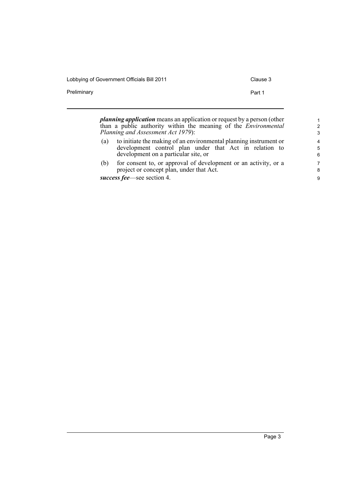Lobbying of Government Officials Bill 2011 Clause 3

Preliminary **Preliminary** Part 1

|     | <i>planning application</i> means an application or request by a person (other<br>than a public authority within the meaning of the <i>Environmental</i><br>Planning and Assessment Act 1979): | $\mathcal{P}$<br>3 |
|-----|------------------------------------------------------------------------------------------------------------------------------------------------------------------------------------------------|--------------------|
| (a) | to initiate the making of an environmental planning instrument or<br>development control plan under that Act in relation to<br>development on a particular site, or                            | 4<br>5<br>6        |
| (b) | for consent to, or approval of development or an activity, or a<br>project or concept plan, under that Act.                                                                                    | 7<br>8             |
|     | success fee—see section 4.                                                                                                                                                                     | 9                  |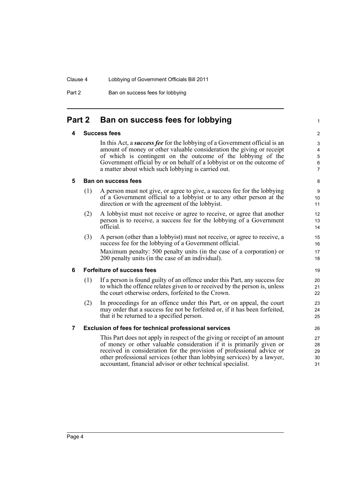#### Clause 4 Lobbying of Government Officials Bill 2011

Part 2 Ban on success fees for lobbying

## <span id="page-7-1"></span><span id="page-7-0"></span>**Part 2 Ban on success fees for lobbying**

#### **4 Success fees**

In this Act, a *success fee* for the lobbying of a Government official is an amount of money or other valuable consideration the giving or receipt of which is contingent on the outcome of the lobbying of the Government official by or on behalf of a lobbyist or on the outcome of a matter about which such lobbying is carried out.

1

#### <span id="page-7-2"></span>**5 Ban on success fees**

- (1) A person must not give, or agree to give, a success fee for the lobbying of a Government official to a lobbyist or to any other person at the direction or with the agreement of the lobbyist.
- (2) A lobbyist must not receive or agree to receive, or agree that another person is to receive, a success fee for the lobbying of a Government official.
- (3) A person (other than a lobbyist) must not receive, or agree to receive, a success fee for the lobbying of a Government official. Maximum penalty: 500 penalty units (in the case of a corporation) or 200 penalty units (in the case of an individual).

### <span id="page-7-3"></span>**6 Forfeiture of success fees**

- (1) If a person is found guilty of an offence under this Part, any success fee to which the offence relates given to or received by the person is, unless the court otherwise orders, forfeited to the Crown.
- (2) In proceedings for an offence under this Part, or on appeal, the court may order that a success fee not be forfeited or, if it has been forfeited, that it be returned to a specified person.

### <span id="page-7-4"></span>**7 Exclusion of fees for technical professional services**

This Part does not apply in respect of the giving or receipt of an amount of money or other valuable consideration if it is primarily given or received in consideration for the provision of professional advice or other professional services (other than lobbying services) by a lawyer, accountant, financial advisor or other technical specialist.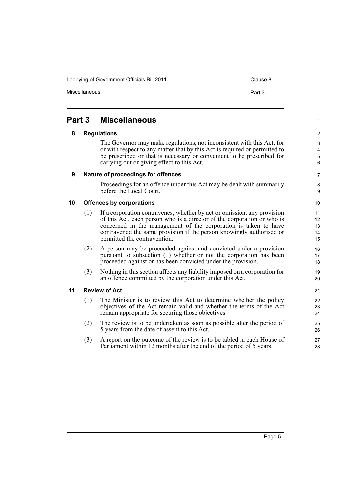Lobbying of Government Officials Bill 2011 Clause 8

Miscellaneous

| ×<br>۰, |
|---------|
|---------|

# <span id="page-8-1"></span><span id="page-8-0"></span>**Part 3 Miscellaneous**

#### **8 Regulations**

The Governor may make regulations, not inconsistent with this Act, for or with respect to any matter that by this Act is required or permitted to be prescribed or that is necessary or convenient to be prescribed for carrying out or giving effect to this Act.

#### <span id="page-8-2"></span>**9 Nature of proceedings for offences**

Proceedings for an offence under this Act may be dealt with summarily before the Local Court.

#### <span id="page-8-3"></span>**10 Offences by corporations**

- (1) If a corporation contravenes, whether by act or omission, any provision of this Act, each person who is a director of the corporation or who is concerned in the management of the corporation is taken to have contravened the same provision if the person knowingly authorised or permitted the contravention.
- (2) A person may be proceeded against and convicted under a provision pursuant to subsection (1) whether or not the corporation has been proceeded against or has been convicted under the provision.
- (3) Nothing in this section affects any liability imposed on a corporation for an offence committed by the corporation under this Act.

#### <span id="page-8-4"></span>**11 Review of Act**

- (1) The Minister is to review this Act to determine whether the policy objectives of the Act remain valid and whether the terms of the Act remain appropriate for securing those objectives.
- (2) The review is to be undertaken as soon as possible after the period of 5 years from the date of assent to this Act.
- (3) A report on the outcome of the review is to be tabled in each House of Parliament within 12 months after the end of the period of 5 years.

7 8

1

9 10

11 12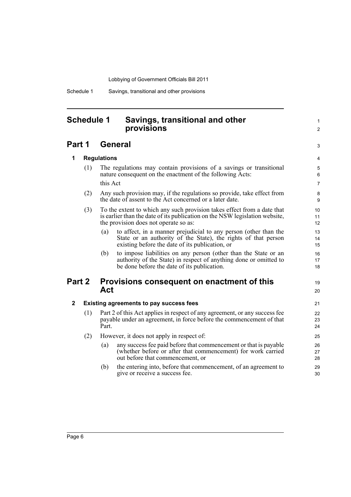Schedule 1 Savings, transitional and other provisions

## <span id="page-9-0"></span>**Schedule 1 Savings, transitional and other provisions**

## **Part 1 General**

**1 Regulations**

3 4 5

19  $20$ 

1  $\mathfrak{p}$ 

### (1) The regulations may contain provisions of a savings or transitional nature consequent on the enactment of the following Acts: this Act

- (2) Any such provision may, if the regulations so provide, take effect from the date of assent to the Act concerned or a later date.
- (3) To the extent to which any such provision takes effect from a date that is earlier than the date of its publication on the NSW legislation website, the provision does not operate so as:
	- (a) to affect, in a manner prejudicial to any person (other than the State or an authority of the State), the rights of that person existing before the date of its publication, or
	- (b) to impose liabilities on any person (other than the State or an authority of the State) in respect of anything done or omitted to be done before the date of its publication.

## **Part 2 Provisions consequent on enactment of this Act**

### **2 Existing agreements to pay success fees**

- (1) Part 2 of this Act applies in respect of any agreement, or any success fee payable under an agreement, in force before the commencement of that Part.
- (2) However, it does not apply in respect of:
	- (a) any success fee paid before that commencement or that is payable (whether before or after that commencement) for work carried out before that commencement, or
	- (b) the entering into, before that commencement, of an agreement to give or receive a success fee.